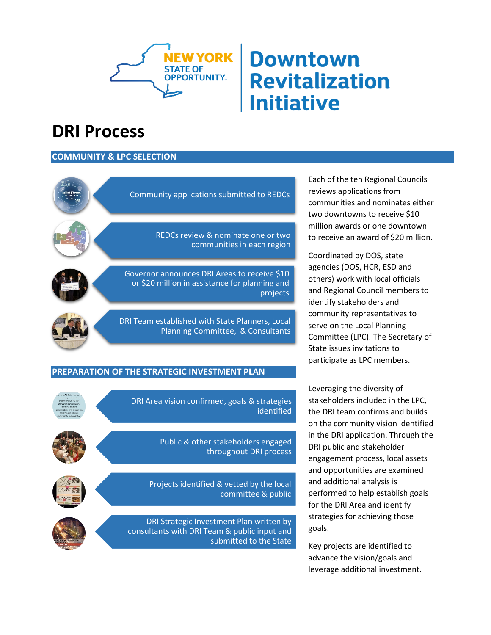

# **Downtown Revitalization Initiative**

## **DRI Process**

### **COMMUNITY & LPC SELECTION**



#### **PREPARATION OF THE STRATEGIC INVESTMENT PLAN**



DRI Area vision confirmed, goals & strategies identified

> Public & other stakeholders engaged throughout DRI process

Projects identified & vetted by the local committee & public



DRI Strategic Investment Plan written by consultants with DRI Team & public input and submitted to the State

Each of the ten Regional Councils reviews applications from communities and nominates either two downtowns to receive \$10 million awards or one downtown to receive an award of \$20 million.

Coordinated by DOS, state agencies (DOS, HCR, ESD and others) work with local officials and Regional Council members to identify stakeholders and community representatives to serve on the Local Planning Committee (LPC). The Secretary of State issues invitations to participate as LPC members.

Leveraging the diversity of stakeholders included in the LPC, the DRI team confirms and builds on the community vision identified in the DRI application. Through the DRI public and stakeholder engagement process, local assets and opportunities are examined and additional analysis is performed to help establish goals for the DRI Area and identify strategies for achieving those goals.

Key projects are identified to advance the vision/goals and leverage additional investment.